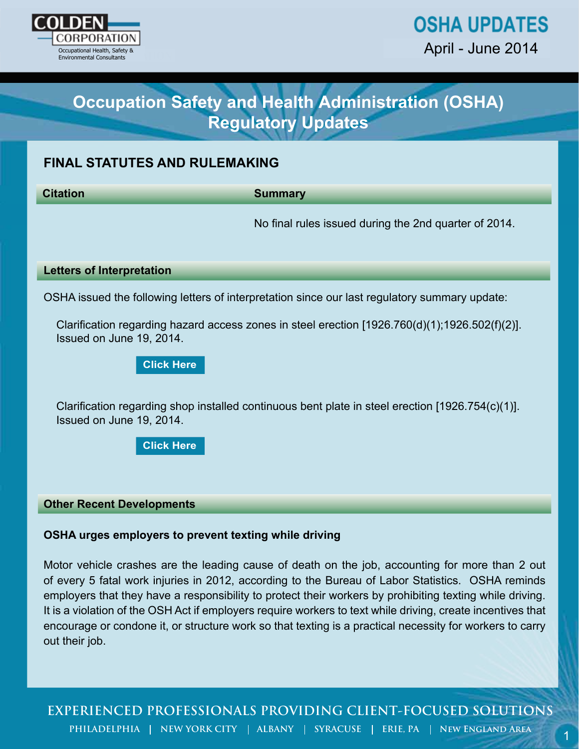

# **Occupation Safety and Health Administration (OSHA) Regulatory Updates**

# **FINAL STATUTES AND RULEMAKING**

**Citation Summary**

No final rules issued during the 2nd quarter of 2014.

### **Letters of Interpretation**

OSHA issued the following letters of interpretation since our last regulatory summary update:

Clarification regarding hazard access zones in steel erection [1926.760(d)(1);1926.502(f)(2)]. Issued on June 19, 2014.

**[Click Here](https://www.osha.gov/pls/oshaweb/owadisp.show_document?p_table=INTERPRETATIONS&p_id=29123)**

Clarification regarding shop installed continuous bent plate in steel erection [1926.754(c)(1)]. Issued on June 19, 2014.

**[Click Here](https://www.osha.gov/pls/oshaweb/owadisp.show_document?p_table=INTERPRETATIONS&p_id=29126)**

#### **Other Recent Developments**

# **OSHA urges employers to prevent texting while driving**

From Cocupation Safety and Health Administration (OSHA)<br>
Regulatory Updates<br>
NAL STATUTES AND RULEMAKING<br>
Summary<br>
No final rules issued during the 2nd quarter of 2014.<br>
Hers of Interpretation<br>
HA issued to following lett Motor vehicle crashes are the leading cause of death on the job, accounting for more than 2 out of every 5 fatal work injuries in 2012, according to the Bureau of Labor Statistics. OSHA reminds employers that they have a responsibility to protect their workers by prohibiting texting while driving. It is a violation of the OSH Act if employers require workers to text while driving, create incentives that encourage or condone it, or structure work so that texting is a practical necessity for workers to carry out their job.

**EXPERIENCED PROFESSIONALS PROVIDING CLIENT-FOCUSED SOLUTIONS**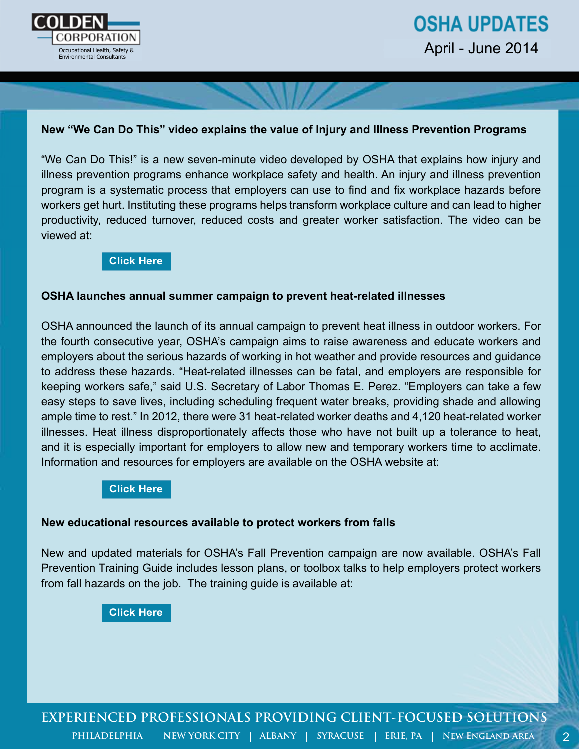

2

# **New "We Can Do This" video explains the value of Injury and Illness Prevention Programs**

"We Can Do This!" is a new seven-minute video developed by OSHA that explains how injury and illness prevention programs enhance workplace safety and health. An injury and illness prevention program is a systematic process that employers can use to find and fix workplace hazards before workers get hurt. Instituting these programs helps transform workplace culture and can lead to higher productivity, reduced turnover, reduced costs and greater worker satisfaction. The video can be viewed at:

## **[Click Here](https://www.osha.gov/dsg/topics/safetyhealth/i2p2video.html)**

# **OSHA launches annual summer campaign to prevent heat-related illnesses**

OSHA announced the launch of its annual campaign to prevent heat illness in outdoor workers. For the fourth consecutive year, OSHA's campaign aims to raise awareness and educate workers and employers about the serious hazards of working in hot weather and provide resources and guidance to address these hazards. "Heat-related illnesses can be fatal, and employers are responsible for keeping workers safe," said U.S. Secretary of Labor Thomas E. Perez. "Employers can take a few easy steps to save lives, including scheduling frequent water breaks, providing shade and allowing ample time to rest." In 2012, there were 31 heat-related worker deaths and 4,120 heat-related worker illnesses. Heat illness disproportionately affects those who have not built up a tolerance to heat, and it is especially important for employers to allow new and temporary workers time to acclimate. Information and resources for employers are available on the OSHA website at:

### **[Click Here](https://www.osha.gov/SLTC/heatillness/index.html)**

#### **New educational resources available to protect workers from falls**

New and updated materials for OSHA's Fall Prevention campaign are now available. OSHA's Fall Prevention Training Guide includes lesson plans, or toolbox talks to help employers protect workers from fall hazards on the job. The training guide is available at: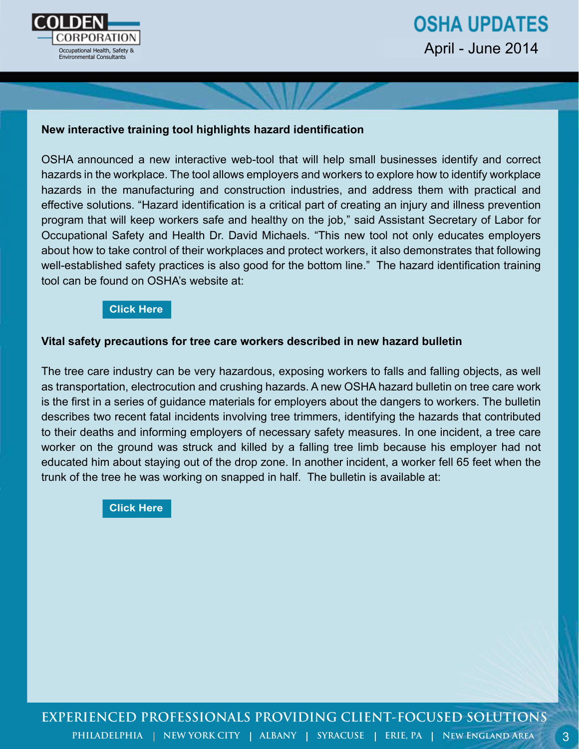

# **OSHA UPDATES** April - June 2014

3

# **New interactive training tool highlights hazard identification**

OSHA announced a new interactive web-tool that will help small businesses identify and correct hazards in the workplace. The tool allows employers and workers to explore how to identify workplace hazards in the manufacturing and construction industries, and address them with practical and effective solutions. "Hazard identification is a critical part of creating an injury and illness prevention program that will keep workers safe and healthy on the job," said Assistant Secretary of Labor for Occupational Safety and Health Dr. David Michaels. "This new tool not only educates employers about how to take control of their workplaces and protect workers, it also demonstrates that following well-established safety practices is also good for the bottom line." The hazard identification training tool can be found on OSHA's website at:

## **[Click Here](https://www.osha.gov/hazfinder/)**

### **Vital safety precautions for tree care workers described in new hazard bulletin**

The tree care industry can be very hazardous, exposing workers to falls and falling objects, as well as transportation, electrocution and crushing hazards. A new OSHA hazard bulletin on tree care work is the first in a series of guidance materials for employers about the dangers to workers. The bulletin describes two recent fatal incidents involving tree trimmers, identifying the hazards that contributed to their deaths and informing employers of necessary safety measures. In one incident, a tree care worker on the ground was struck and killed by a falling tree limb because his employer had not educated him about staying out of the drop zone. In another incident, a worker fell 65 feet when the trunk of the tree he was working on snapped in half. The bulletin is available at: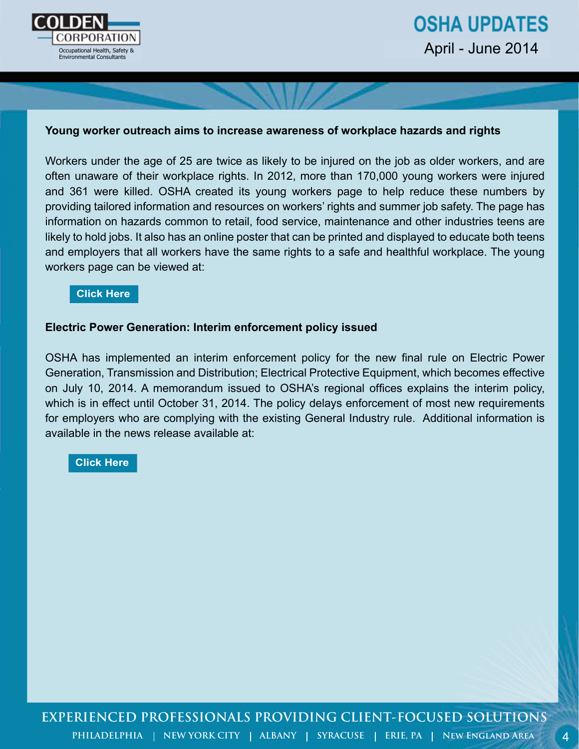

# **OSHA UPDATES** April - June 2014

### **Young worker outreach aims to increase awareness of workplace hazards and rights**

Workers under the age of 25 are twice as likely to be injured on the job as older workers, and are often unaware of their workplace rights. In 2012, more than 170,000 young workers were injured and 361 were killed. OSHA created its young workers page to help reduce these numbers by providing tailored information and resources on workers' rights and summer job safety. The page has information on hazards common to retail, food service, maintenance and other industries teens are likely to hold jobs. It also has an online poster that can be printed and displayed to educate both teens and employers that all workers have the same rights to a safe and healthful workplace. The young workers page can be viewed at:

#### **[Click Here](https://www.osha.gov/youngworkers/)**

# **Electric Power Generation: Interim enforcement policy issued**

OSHA has implemented an interim enforcement policy for the new final rule on Electric Power Generation, Transmission and Distribution; Electrical Protective Equipment, which becomes effective on July 10, 2014. A memorandum issued to OSHA's regional offices explains the interim policy, which is in effect until October 31, 2014. The policy delays enforcement of most new requirements for employers who are complying with the existing General Industry rule. Additional information is available in the news release available at: